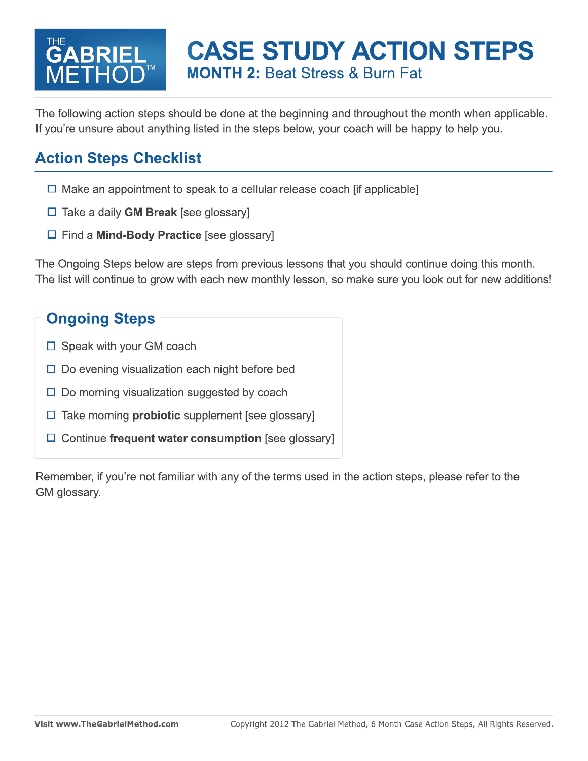#### THE METHOD<sup>™</sup> **BRIEL**

### **CASE STUDY ACTION STEPS MONTH 2:** Beat Stress & Burn Fat

The following action steps should be done at the beginning and throughout the month when applicable. If you're unsure about anything listed in the steps below, your coach will be happy to help you.

#### **Action Steps Checklist**

- $\Box$  Make an appointment to speak to a cellular release coach [if applicable]
- Take a daily **GM Break** [see glossary]
- Find a **Mind-Body Practice** [see glossary]

The Ongoing Steps below are steps from previous lessons that you should continue doing this month. The list will continue to grow with each new monthly lesson, so make sure you look out for new additions!

#### **Ongoing Steps**

- $\square$  Speak with your GM coach
- $\square$  Do evening visualization each night before bed
- $\square$  Do morning visualization suggested by coach
- □ Take morning **probiotic** supplement [see glossary]
- □ Continue frequent water consumption [see glossary]

Remember, if you're not familiar with any of the terms used in the action steps, please refer to the GM glossary.